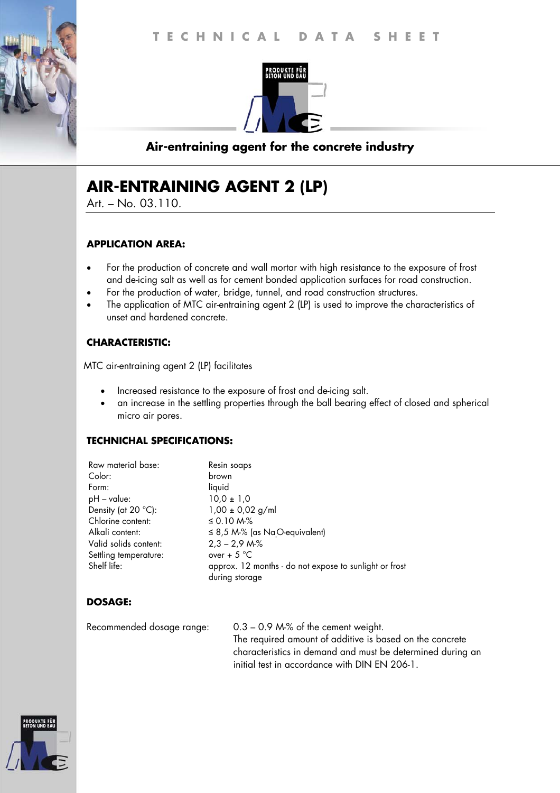

# **Air-entraining agent for the concrete industry**

# **AIR-ENTRAINING AGENT 2 (LP)**

Art. – No. 03.110.

#### **APPLICATION AREA:**

- For the production of concrete and wall mortar with high resistance to the exposure of frost and de-icing salt as well as for cement bonded application surfaces for road construction.
- For the production of water, bridge, tunnel, and road construction structures.
- The application of MTC air-entraining agent 2 (LP) is used to improve the characteristics of unset and hardened concrete.

#### **CHARACTERISTIC:**

MTC air-entraining agent 2 (LP) facilitates

- Increased resistance to the exposure of frost and de-icing salt.
- an increase in the settling properties through the ball bearing effect of closed and spherical micro air pores.

#### **TECHNICHAL SPECIFICATIONS:**

| Raw material base:    | Resin soaps                                            |
|-----------------------|--------------------------------------------------------|
| Color:                | brown                                                  |
| Form:                 | liquid                                                 |
| $pH - value$ :        | $10,0 \pm 1,0$                                         |
| Density (at 20 °C):   | $1,00 \pm 0,02$ g/ml                                   |
| Chlorine content:     | $\leq$ 0.10 M-%                                        |
| Alkali content:       | $\leq$ 8,5 M-% (as Na <sub>.</sub> O-equivalent)       |
| Valid solids content: | $2,3 - 2,9$ M-%                                        |
| Settling temperature: | over + $5^{\circ}$ C                                   |
| Shelf life:           | approx. 12 months - do not expose to sunlight or frost |
|                       | during storage                                         |

## **DOSAGE:**

Recommended dosage range: 0.3 – 0.9 M-% of the cement weight. The required amount of additive is based on the concrete characteristics in demand and must be determined during an initial test in accordance with DIN EN 206-1.